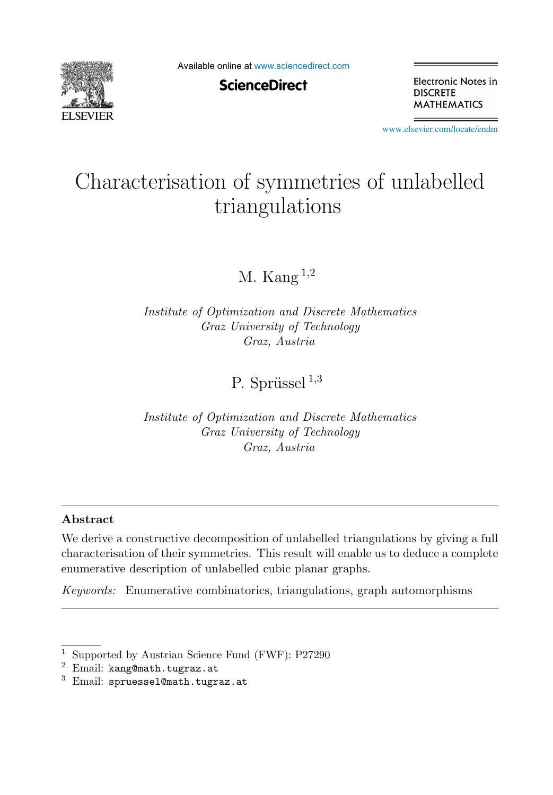

Available online at [www.sciencedirect.com](http://www.sciencedirect.com)

**ScienceDirect** 

Electronic Notes in **DISCRETE MATHEMATICS** 

[www.elsevier.com/locate/endm](http://www.elsevier.com/locate/endm)

# Characterisation of symmetries of unlabelled triangulations

M. Kang  $^{1,2}$ 

*Institute of Optimization and Discrete Mathematics Graz University of Technology Graz, Austria*

P. Sprüssel  $^{1,3}$ 

*Institute of Optimization and Discrete Mathematics Graz University of Technology Graz, Austria*

## **Abstract**

We derive a constructive decomposition of unlabelled triangulations by giving a full characterisation of their symmetries. This result will enable us to deduce a complete enumerative description of unlabelled cubic planar graphs.

*Keywords:* Enumerative combinatorics, triangulations, graph automorphisms

<sup>1</sup> Supported by Austrian Science Fund (FWF): P27290

 $2$  Email: kang@math.tugraz.at

 $3$  Email: spruessel@math.tugraz.at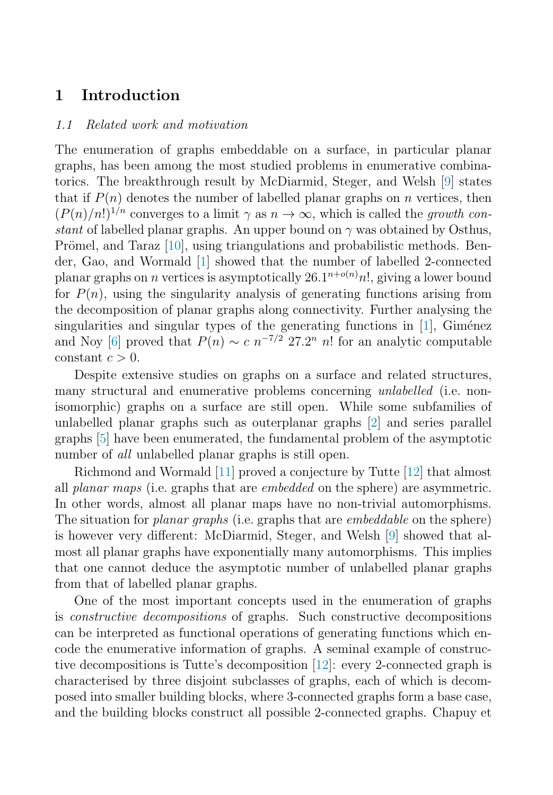# **1 Introduction**

### 1.1 Related work and motivation

The enumeration of graphs embeddable on a surface, in particular planar graphs, has been among the most studied problems in enumerative combinatorics. The breakthrough result by McDiarmid, Steger, and Welsh [\[9\]](#page-7-0) states that if  $P(n)$  denotes the number of labelled planar graphs on n vertices, then  $(P(n)/n!)^{1/n}$  converges to a limit  $\gamma$  as  $n \to \infty$ , which is called the growth constant of labelled planar graphs. An upper bound on  $\gamma$  was obtained by Osthus, Prömel, and Taraz  $[10]$ , using triangulations and probabilistic methods. Bender, Gao, and Wormald [\[1\]](#page-6-0) showed that the number of labelled 2-connected planar graphs on *n* vertices is asymptotically  $26.1^{n+o(n)}n!$ , giving a lower bound for  $P(n)$ , using the singularity analysis of generating functions arising from the decomposition of planar graphs along connectivity. Further analysing the singularities and singular types of the generating functions in  $[1]$ , Giménez and Noy [\[6\]](#page-7-0) proved that  $P(n) \sim c n^{-7/2} 27.2^n n!$  for an analytic computable constant  $c > 0$ .

Despite extensive studies on graphs on a surface and related structures, many structural and enumerative problems concerning *unlabelled* (i.e. nonisomorphic) graphs on a surface are still open. While some subfamilies of unlabelled planar graphs such as outerplanar graphs [\[2\]](#page-7-0) and series parallel graphs [\[5\]](#page-7-0) have been enumerated, the fundamental problem of the asymptotic number of *all* unlabelled planar graphs is still open.

Richmond and Wormald [\[11\]](#page-7-0) proved a conjecture by Tutte [\[12\]](#page-7-0) that almost all planar maps (i.e. graphs that are *embedded* on the sphere) are asymmetric. In other words, almost all planar maps have no non-trivial automorphisms. The situation for *planar graphs* (i.e. graphs that are *embeddable* on the sphere) is however very different: McDiarmid, Steger, and Welsh [\[9\]](#page-7-0) showed that almost all planar graphs have exponentially many automorphisms. This implies that one cannot deduce the asymptotic number of unlabelled planar graphs from that of labelled planar graphs.

One of the most important concepts used in the enumeration of graphs is constructive decompositions of graphs. Such constructive decompositions can be interpreted as functional operations of generating functions which encode the enumerative information of graphs. A seminal example of constructive decompositions is Tutte's decomposition [\[12\]](#page-7-0): every 2-connected graph is characterised by three disjoint subclasses of graphs, each of which is decomposed into smaller building blocks, where 3-connected graphs form a base case, and the building blocks construct all possible 2-connected graphs. Chapuy et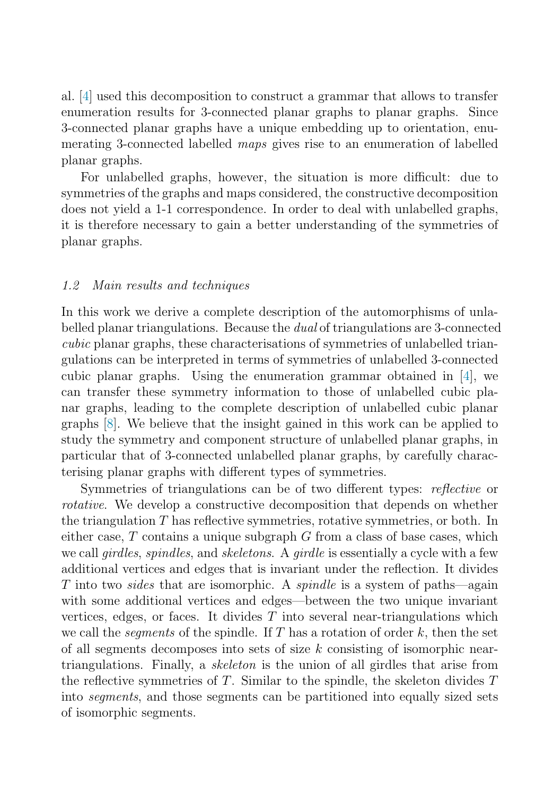al. [\[4\]](#page-7-0) used this decomposition to construct a grammar that allows to transfer enumeration results for 3-connected planar graphs to planar graphs. Since 3-connected planar graphs have a unique embedding up to orientation, enumerating 3-connected labelled maps gives rise to an enumeration of labelled planar graphs.

For unlabelled graphs, however, the situation is more difficult: due to symmetries of the graphs and maps considered, the constructive decomposition does not yield a 1-1 correspondence. In order to deal with unlabelled graphs, it is therefore necessary to gain a better understanding of the symmetries of planar graphs.

## 1.2 Main results and techniques

In this work we derive a complete description of the automorphisms of unlabelled planar triangulations. Because the dual of triangulations are 3-connected cubic planar graphs, these characterisations of symmetries of unlabelled triangulations can be interpreted in terms of symmetries of unlabelled 3-connected cubic planar graphs. Using the enumeration grammar obtained in [\[4\]](#page-7-0), we can transfer these symmetry information to those of unlabelled cubic planar graphs, leading to the complete description of unlabelled cubic planar graphs [\[8\]](#page-7-0). We believe that the insight gained in this work can be applied to study the symmetry and component structure of unlabelled planar graphs, in particular that of 3-connected unlabelled planar graphs, by carefully characterising planar graphs with different types of symmetries.

Symmetries of triangulations can be of two different types: *reflective* or rotative. We develop a constructive decomposition that depends on whether the triangulation T has reflective symmetries, rotative symmetries, or both. In either case,  $T$  contains a unique subgraph  $G$  from a class of base cases, which we call *girdles, spindles,* and *skeletons.* A *girdle* is essentially a cycle with a few additional vertices and edges that is invariant under the reflection. It divides T into two sides that are isomorphic. A spindle is a system of paths—again with some additional vertices and edges—between the two unique invariant vertices, edges, or faces. It divides  $T$  into several near-triangulations which we call the *segments* of the spindle. If T has a rotation of order  $k$ , then the set of all segments decomposes into sets of size  $k$  consisting of isomorphic neartriangulations. Finally, a skeleton is the union of all girdles that arise from the reflective symmetries of T. Similar to the spindle, the skeleton divides  $T$ into segments, and those segments can be partitioned into equally sized sets of isomorphic segments.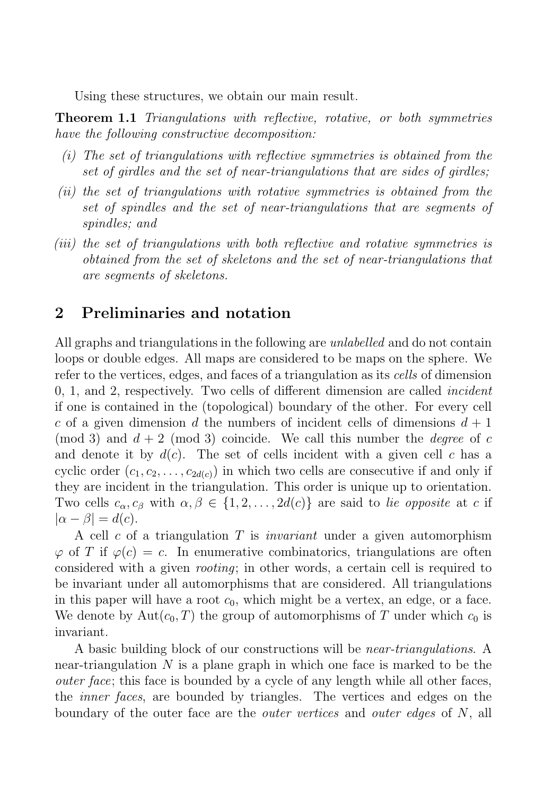Using these structures, we obtain our main result.

**Theorem 1.1** Triangulations with reflective, rotative, or both symmetries have the following constructive decomposition:

- (i) The set of triangulations with reflective symmetries is obtained from the set of girdles and the set of near-triangulations that are sides of girdles;
- (ii) the set of triangulations with rotative symmetries is obtained from the set of spindles and the set of near-triangulations that are segments of spindles; and
- (iii) the set of triangulations with both reflective and rotative symmetries is obtained from the set of skeletons and the set of near-triangulations that are segments of skeletons.

# **2 Preliminaries and notation**

All graphs and triangulations in the following are *unlabelled* and do not contain loops or double edges. All maps are considered to be maps on the sphere. We refer to the vertices, edges, and faces of a triangulation as its cells of dimension 0, 1, and 2, respectively. Two cells of different dimension are called incident if one is contained in the (topological) boundary of the other. For every cell c of a given dimension d the numbers of incident cells of dimensions  $d + 1$ (mod 3) and  $d + 2$  (mod 3) coincide. We call this number the *degree* of c and denote it by  $d(c)$ . The set of cells incident with a given cell c has a cyclic order  $(c_1, c_2, \ldots, c_{2d(c)})$  in which two cells are consecutive if and only if they are incident in the triangulation. This order is unique up to orientation. Two cells  $c_{\alpha}, c_{\beta}$  with  $\alpha, \beta \in \{1, 2, ..., 2d(c)\}\$  are said to lie opposite at c if  $|\alpha - \beta| = d(c).$ 

A cell c of a triangulation  $T$  is *invariant* under a given automorphism  $\varphi$  of T if  $\varphi(c) = c$ . In enumerative combinatorics, triangulations are often considered with a given rooting; in other words, a certain cell is required to be invariant under all automorphisms that are considered. All triangulations in this paper will have a root  $c_0$ , which might be a vertex, an edge, or a face. We denote by  $Aut(c_0, T)$  the group of automorphisms of T under which  $c_0$  is invariant.

A basic building block of our constructions will be near-triangulations. A near-triangulation  $N$  is a plane graph in which one face is marked to be the outer face; this face is bounded by a cycle of any length while all other faces, the inner faces, are bounded by triangles. The vertices and edges on the boundary of the outer face are the *outer vertices* and *outer edges* of N, all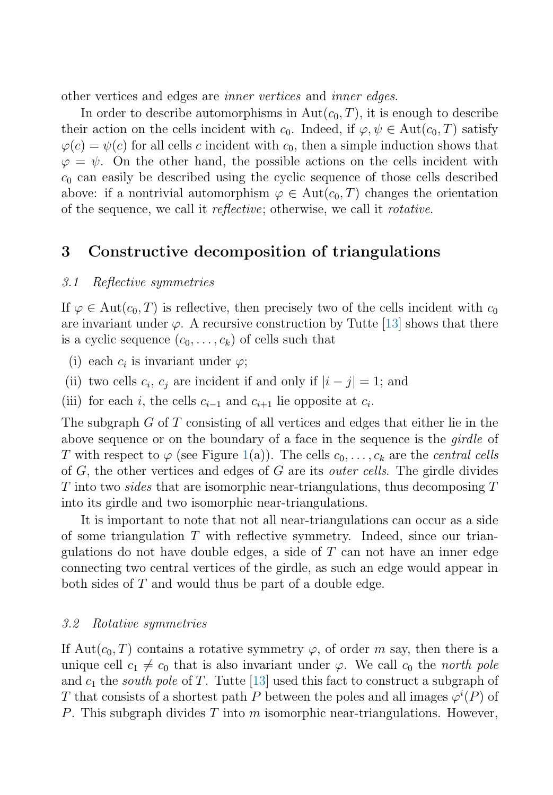other vertices and edges are inner vertices and inner edges.

In order to describe automorphisms in  $Aut(c_0, T)$ , it is enough to describe their action on the cells incident with  $c_0$ . Indeed, if  $\varphi, \psi \in \text{Aut}(c_0, T)$  satisfy  $\varphi(c) = \psi(c)$  for all cells c incident with  $c_0$ , then a simple induction shows that  $\varphi = \psi$ . On the other hand, the possible actions on the cells incident with  $c_0$  can easily be described using the cyclic sequence of those cells described above: if a nontrivial automorphism  $\varphi \in Aut(c_0, T)$  changes the orientation of the sequence, we call it reflective; otherwise, we call it rotative.

## **3 Constructive decomposition of triangulations**

#### 3.1 Reflective symmetries

If  $\varphi \in \text{Aut}(c_0, T)$  is reflective, then precisely two of the cells incident with  $c_0$ are invariant under  $\varphi$ . A recursive construction by Tutte [\[13\]](#page-7-0) shows that there is a cyclic sequence  $(c_0,\ldots,c_k)$  of cells such that

- (i) each  $c_i$  is invariant under  $\varphi$ ;
- (ii) two cells  $c_i$ ,  $c_j$  are incident if and only if  $|i j| = 1$ ; and
- (iii) for each i, the cells  $c_{i-1}$  and  $c_{i+1}$  lie opposite at  $c_i$ .

The subgraph  $G$  of  $T$  consisting of all vertices and edges that either lie in the above sequence or on the boundary of a face in the sequence is the girdle of T with respect to  $\varphi$  (see Figure [1\(](#page-6-0)a)). The cells  $c_0, \ldots, c_k$  are the central cells of  $G$ , the other vertices and edges of  $G$  are its *outer cells*. The girdle divides  $T$  into two *sides* that are isomorphic near-triangulations, thus decomposing  $T$ into its girdle and two isomorphic near-triangulations.

It is important to note that not all near-triangulations can occur as a side of some triangulation  $T$  with reflective symmetry. Indeed, since our triangulations do not have double edges, a side of T can not have an inner edge connecting two central vertices of the girdle, as such an edge would appear in both sides of T and would thus be part of a double edge.

#### 3.2 Rotative symmetries

If Aut( $c_0$ , T) contains a rotative symmetry  $\varphi$ , of order m say, then there is a unique cell  $c_1 \neq c_0$  that is also invariant under  $\varphi$ . We call  $c_0$  the north pole and  $c_1$  the south pole of T. Tutte [\[13\]](#page-7-0) used this fact to construct a subgraph of T that consists of a shortest path P between the poles and all images  $\varphi^{i}(P)$  of P. This subgraph divides T into m isomorphic near-triangulations. However,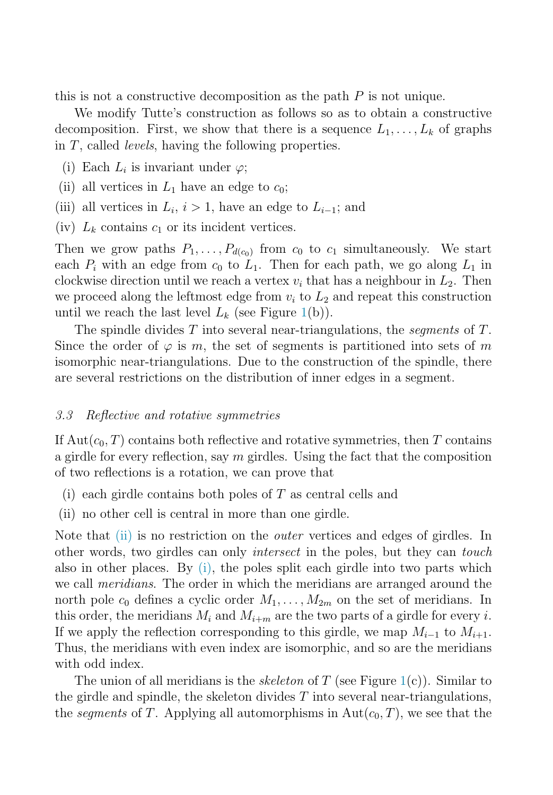this is not a constructive decomposition as the path  $P$  is not unique.

We modify Tutte's construction as follows so as to obtain a constructive decomposition. First, we show that there is a sequence  $L_1, \ldots, L_k$  of graphs in T, called levels, having the following properties.

- (i) Each  $L_i$  is invariant under  $\varphi$ ;
- (ii) all vertices in  $L_1$  have an edge to  $c_0$ ;
- (iii) all vertices in  $L_i$ ,  $i > 1$ , have an edge to  $L_{i-1}$ ; and
- (iv)  $L_k$  contains  $c_1$  or its incident vertices.

Then we grow paths  $P_1, \ldots, P_{d(c_0)}$  from  $c_0$  to  $c_1$  simultaneously. We start each  $P_i$  with an edge from  $c_0$  to  $L_1$ . Then for each path, we go along  $L_1$  in clockwise direction until we reach a vertex  $v_i$  that has a neighbour in  $L_2$ . Then we proceed along the leftmost edge from  $v_i$  to  $L_2$  and repeat this construction until we reach the last level  $L_k$  (see Figure [1\(](#page-6-0)b)).

The spindle divides  $T$  into several near-triangulations, the *sequents* of  $T$ . Since the order of  $\varphi$  is m, the set of segments is partitioned into sets of m isomorphic near-triangulations. Due to the construction of the spindle, there are several restrictions on the distribution of inner edges in a segment.

#### 3.3 Reflective and rotative symmetries

If  $\text{Aut}(c_0, T)$  contains both reflective and rotative symmetries, then T contains a girdle for every reflection, say  $m$  girdles. Using the fact that the composition of two reflections is a rotation, we can prove that

- (i) each girdle contains both poles of  $T$  as central cells and
- (ii) no other cell is central in more than one girdle.

Note that (ii) is no restriction on the *outer* vertices and edges of girdles. In other words, two girdles can only intersect in the poles, but they can touch also in other places. By (i), the poles split each girdle into two parts which we call meridians. The order in which the meridians are arranged around the north pole  $c_0$  defines a cyclic order  $M_1, \ldots, M_{2m}$  on the set of meridians. In this order, the meridians  $M_i$  and  $M_{i+m}$  are the two parts of a girdle for every i. If we apply the reflection corresponding to this girdle, we map  $M_{i-1}$  to  $M_{i+1}$ . Thus, the meridians with even index are isomorphic, and so are the meridians with odd index.

The union of all meridians is the *skeleton* of T (see Figure [1\(](#page-6-0)c)). Similar to the girdle and spindle, the skeleton divides  $T$  into several near-triangulations, the segments of T. Applying all automorphisms in  $Aut(c_0, T)$ , we see that the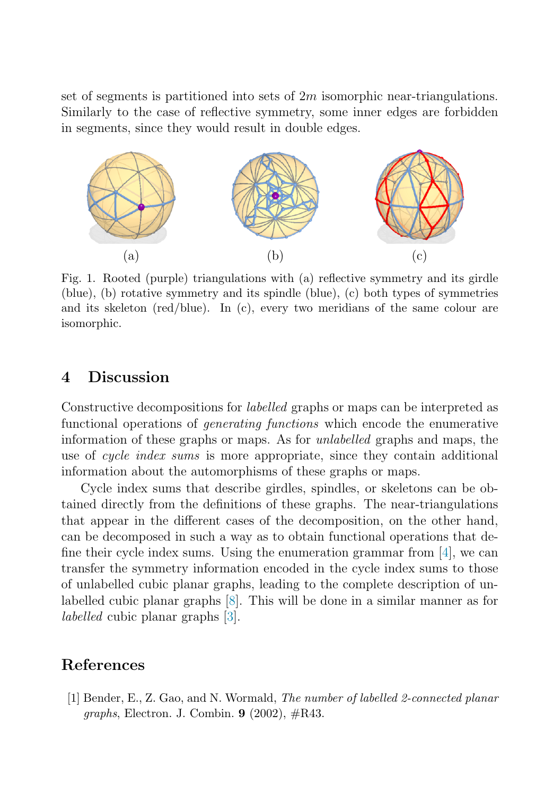<span id="page-6-0"></span>set of segments is partitioned into sets of  $2m$  isomorphic near-triangulations. Similarly to the case of reflective symmetry, some inner edges are forbidden in segments, since they would result in double edges.



Fig. 1. Rooted (purple) triangulations with (a) reflective symmetry and its girdle (blue), (b) rotative symmetry and its spindle (blue), (c) both types of symmetries and its skeleton (red/blue). In (c), every two meridians of the same colour are isomorphic.

## **4 Discussion**

Constructive decompositions for labelled graphs or maps can be interpreted as functional operations of generating functions which encode the enumerative information of these graphs or maps. As for unlabelled graphs and maps, the use of *cycle index sums* is more appropriate, since they contain additional information about the automorphisms of these graphs or maps.

Cycle index sums that describe girdles, spindles, or skeletons can be obtained directly from the definitions of these graphs. The near-triangulations that appear in the different cases of the decomposition, on the other hand, can be decomposed in such a way as to obtain functional operations that define their cycle index sums. Using the enumeration grammar from [\[4\]](#page-7-0), we can transfer the symmetry information encoded in the cycle index sums to those of unlabelled cubic planar graphs, leading to the complete description of unlabelled cubic planar graphs [\[8\]](#page-7-0). This will be done in a similar manner as for labelled cubic planar graphs [\[3\]](#page-7-0).

## **References**

[1] Bender, E., Z. Gao, and N. Wormald, *The number of labelled 2-connected planar graphs*, Electron. J. Combin. **9** (2002), #R43.